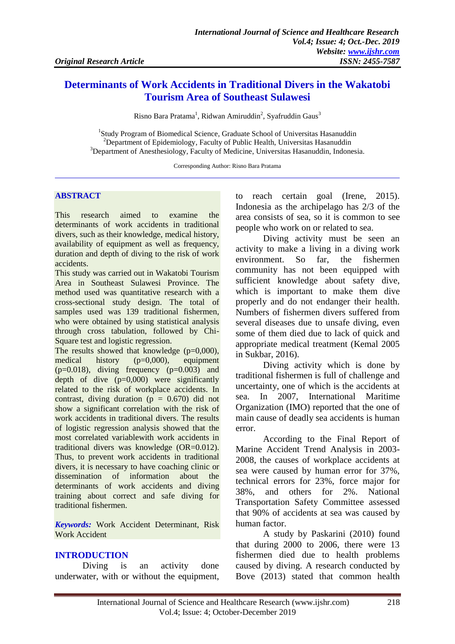# **Determinants of Work Accidents in Traditional Divers in the Wakatobi Tourism Area of Southeast Sulawesi**

Risno Bara Pratama<sup>1</sup>, Ridwan Amiruddin<sup>2</sup>, Syafruddin Gaus<sup>3</sup>

<sup>1</sup>Study Program of Biomedical Science, Graduate School of Universitas Hasanuddin <sup>2</sup>Department of Epidemiology, Faculty of Public Health, Universitas Hasanuddin <sup>3</sup>Department of Anesthesiology, Faculty of Medicine, Universitas Hasanuddin, Indonesia.

Corresponding Author: Risno Bara Pratama

## **ABSTRACT**

This research aimed to examine the determinants of work accidents in traditional divers, such as their knowledge, medical history, availability of equipment as well as frequency, duration and depth of diving to the risk of work accidents.

This study was carried out in Wakatobi Tourism Area in Southeast Sulawesi Province. The method used was quantitative research with a cross-sectional study design. The total of samples used was 139 traditional fishermen, who were obtained by using statistical analysis through cross tabulation, followed by Chi-Square test and logistic regression.

The results showed that knowledge  $(p=0,000)$ , medical history (p=0,000), equipment  $(p=0.018)$ , diving frequency  $(p=0.003)$  and depth of dive  $(p=0,000)$  were significantly related to the risk of workplace accidents. In contrast, diving duration ( $p = 0.670$ ) did not show a significant correlation with the risk of work accidents in traditional divers. The results of logistic regression analysis showed that the most correlated variablewith work accidents in traditional divers was knowledge (OR=0.012). Thus, to prevent work accidents in traditional divers, it is necessary to have coaching clinic or dissemination of information about the determinants of work accidents and diving training about correct and safe diving for traditional fishermen.

*Keywords:* Work Accident Determinant, Risk Work Accident

# **INTRODUCTION**

Diving is an activity done underwater, with or without the equipment,

to reach certain goal (Irene, 2015). Indonesia as the archipelago has 2/3 of the area consists of sea, so it is common to see people who work on or related to sea.

Diving activity must be seen an activity to make a living in a diving work environment. So far, the fishermen community has not been equipped with sufficient knowledge about safety dive, which is important to make them dive properly and do not endanger their health. Numbers of fishermen divers suffered from several diseases due to unsafe diving, even some of them died due to lack of quick and appropriate medical treatment (Kemal 2005 in Sukbar, 2016).

Diving activity which is done by traditional fishermen is full of challenge and uncertainty, one of which is the accidents at sea. In 2007, International Maritime Organization (IMO) reported that the one of main cause of deadly sea accidents is human error.

According to the Final Report of Marine Accident Trend Analysis in 2003- 2008, the causes of workplace accidents at sea were caused by human error for 37%, technical errors for 23%, force major for 38%, and others for 2%. National Transportation Safety Committee assessed that 90% of accidents at sea was caused by human factor.

A study by Paskarini (2010) found that during 2000 to 2006, there were 13 fishermen died due to health problems caused by diving. A research conducted by Bove (2013) stated that common health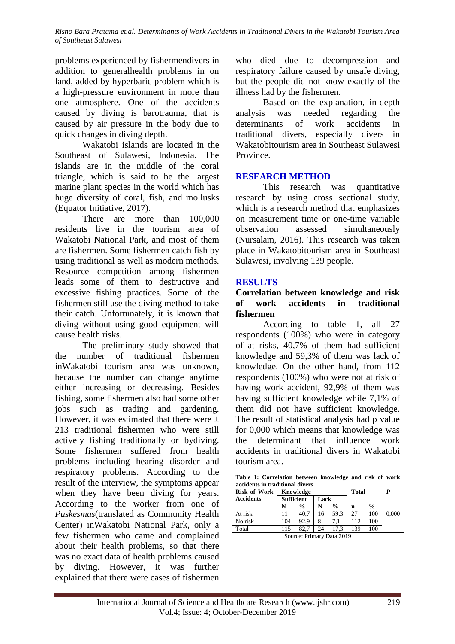problems experienced by fishermendivers in addition to generalhealth problems in on land, added by hyperbaric problem which is a high-pressure environment in more than one atmosphere. One of the accidents caused by diving is barotrauma, that is caused by air pressure in the body due to quick changes in diving depth.

Wakatobi islands are located in the Southeast of Sulawesi, Indonesia. The islands are in the middle of the coral triangle, which is said to be the largest marine plant species in the world which has huge diversity of coral, fish, and mollusks (Equator Initiative, 2017).

There are more than 100,000 residents live in the tourism area of Wakatobi National Park, and most of them are fishermen. Some fishermen catch fish by using traditional as well as modern methods. Resource competition among fishermen leads some of them to destructive and excessive fishing practices. Some of the fishermen still use the diving method to take their catch. Unfortunately, it is known that diving without using good equipment will cause health risks.

The preliminary study showed that the number of traditional fishermen inWakatobi tourism area was unknown, because the number can change anytime either increasing or decreasing. Besides fishing, some fishermen also had some other jobs such as trading and gardening. However, it was estimated that there were  $\pm$ 213 traditional fishermen who were still actively fishing traditionally or bydiving. Some fishermen suffered from health problems including hearing disorder and respiratory problems. According to the result of the interview, the symptoms appear when they have been diving for years. According to the worker from one of *Puskesmas*(translated as Community Health Center) inWakatobi National Park, only a few fishermen who came and complained about their health problems, so that there was no exact data of health problems caused by diving. However, it was further explained that there were cases of fishermen

who died due to decompression and respiratory failure caused by unsafe diving, but the people did not know exactly of the illness had by the fishermen.

Based on the explanation, in-depth analysis was needed regarding the determinants of work accidents in traditional divers, especially divers in Wakatobitourism area in Southeast Sulawesi Province.

# **RESEARCH METHOD**

This research was quantitative research by using cross sectional study*,* which is a research method that emphasizes on measurement time or one-time variable observation assessed simultaneously (Nursalam, 2016). This research was taken place in Wakatobitourism area in Southeast Sulawesi, involving 139 people.

## **RESULTS**

## **Correlation between knowledge and risk of work accidents in traditional fishermen**

According to table 1, all 27 respondents (100%) who were in category of at risks, 40,7% of them had sufficient knowledge and 59,3% of them was lack of knowledge. On the other hand, from 112 respondents (100%) who were not at risk of having work accident, 92,9% of them was having sufficient knowledge while 7,1% of them did not have sufficient knowledge. The result of statistical analysis had p value for 0,000 which means that knowledge was the determinant that influence work accidents in traditional divers in Wakatobi tourism area.

**Table 1: Correlation between knowledge and risk of work accidents in traditional divers**

| <b>Risk of Work</b> | Knowledge |                           |    |               | <b>Total</b> |               |       |
|---------------------|-----------|---------------------------|----|---------------|--------------|---------------|-------|
| <b>Accidents</b>    |           | <b>Sufficient</b><br>Lack |    |               |              |               |       |
|                     |           | $\frac{0}{0}$             | N  | $\frac{0}{0}$ | n            | $\frac{0}{0}$ |       |
| At risk             |           | 40.7                      | 16 | 59.3          | 27           | 100           | 0.000 |
| No risk             | 104       | 92.9                      | 8  |               | 112          | 100           |       |
| Total               | 115       | 82.7                      | 24 | 17.3          | 139          | 100           |       |
|                     |           | Course Drimery Data 2010  |    |               |              |               |       |

Source: Primary Data 2019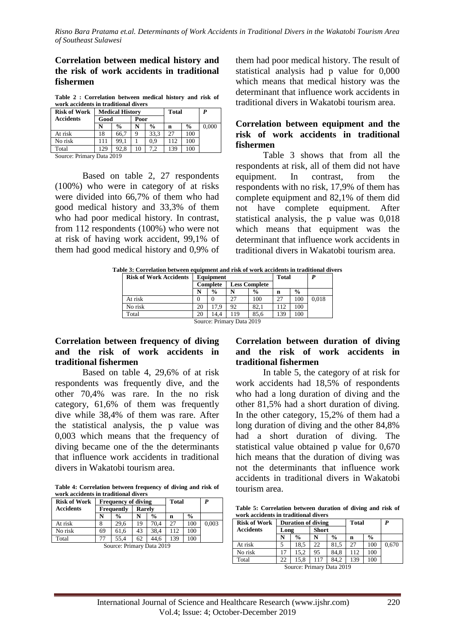#### **Correlation between medical history and the risk of work accidents in traditional fishermen**

**Table 2 : Correlation between medical history and risk of work accidents in traditional divers**

| <b>Risk of Work</b> | <b>Medical History</b> |               |      |               | <b>Total</b> |               | P     |
|---------------------|------------------------|---------------|------|---------------|--------------|---------------|-------|
| <b>Accidents</b>    | Good                   |               | Poor |               |              |               |       |
|                     |                        | $\frac{0}{0}$ |      | $\frac{0}{0}$ | n            | $\frac{6}{9}$ | 0.000 |
| At risk             | 18                     | 66.7          |      | 33.3          |              | 100           |       |
| No risk             | 111                    | 99.1          |      | 0.9           | 112          | 100           |       |
| Total               | 129                    | 92.8          | 10   |               | 139          | 100           |       |

Source: Primary Data 2019

Based on table 2, 27 respondents (100%) who were in category of at risks were divided into 66,7% of them who had good medical history and 33,3% of them who had poor medical history. In contrast, from 112 respondents (100%) who were not at risk of having work accident, 99,1% of them had good medical history and 0,9% of them had poor medical history. The result of statistical analysis had p value for 0,000 which means that medical history was the determinant that influence work accidents in traditional divers in Wakatobi tourism area.

# **Correlation between equipment and the risk of work accidents in traditional fishermen**

Table 3 shows that from all the respondents at risk, all of them did not have equipment. In contrast, from the respondents with no risk, 17,9% of them has complete equipment and 82,1% of them did not have complete equipment. After statistical analysis, the p value was 0,018 which means that equipment was the determinant that influence work accidents in traditional divers in Wakatobi tourism area.

|                                           | Table 3: Correlation between equipment and risk of work accidents in traditional divers |       |  |
|-------------------------------------------|-----------------------------------------------------------------------------------------|-------|--|
| <b>Rick of Work Accidents   Faujoment</b> |                                                                                         | Total |  |

| <b>Risk of Work Accidents</b> |                                         | Equipment     |     | <b>Total</b>  |     |               |       |  |
|-------------------------------|-----------------------------------------|---------------|-----|---------------|-----|---------------|-------|--|
|                               | <b>Complete</b><br><b>Less Complete</b> |               |     |               |     |               |       |  |
|                               | N                                       | $\frac{0}{0}$ |     | $\frac{0}{0}$ | n   | $\frac{0}{0}$ |       |  |
| At risk                       | 0                                       |               | 27  | 100           | 27  | 100           | 0.018 |  |
| No risk                       | 20                                      | 17.9          | 92  | 82.1          | 112 | 100           |       |  |
| Total                         | 20                                      | 14.4          | 119 | 85.6          | 139 | 100           |       |  |
| Source: Primary Data 2019     |                                         |               |     |               |     |               |       |  |

#### **Correlation between frequency of diving and the risk of work accidents in traditional fishermen**

Based on table 4, 29,6% of at risk respondents was frequently dive, and the other 70,4% was rare. In the no risk category, 61,6% of them was frequently dive while 38,4% of them was rare. After the statistical analysis, the p value was 0,003 which means that the frequency of diving became one of the the determinants that influence work accidents in traditional divers in Wakatobi tourism area.

**Table 4: Correlation between frequency of diving and risk of work accidents in traditional divers**

| <b>Risk of Work</b> |    | <b>Frequency of diving</b> |    |               |     | <b>Total</b>  | P     |
|---------------------|----|----------------------------|----|---------------|-----|---------------|-------|
| <b>Accidents</b>    |    | Rarely<br>Frequently       |    |               |     |               |       |
|                     | N  | $\frac{0}{0}$              | N  | $\frac{0}{0}$ | n   | $\frac{0}{0}$ |       |
| At risk             |    | 29.6                       | 19 | 70.4          | 27  | 100           | 0,003 |
| No risk             | 69 | 61,6                       | 43 | 38.4          | 112 | 100           |       |
| Total               | 77 | 55.4                       | 62 | 44.6          | 139 | 100           |       |
|                     |    | Cource: Drimary Data 2010  |    |               |     |               |       |

Source: Primary Data 2019

## **Correlation between duration of diving and the risk of work accidents in traditional fishermen**

In table 5, the category of at risk for work accidents had 18,5% of respondents who had a long duration of diving and the other 81,5% had a short duration of diving. In the other category, 15,2% of them had a long duration of diving and the other 84,8% had a short duration of diving. The statistical value obtained p value for 0,670 hich means that the duration of diving was not the determinants that influence work accidents in traditional divers in Wakatobi tourism area.

**Table 5: Correlation between duration of diving and risk of work accidents in traditional divers**

| <b>Risk of Work</b> |                      | <b>Duration of diving</b> |     | <b>Total</b>  |     | P             |       |
|---------------------|----------------------|---------------------------|-----|---------------|-----|---------------|-------|
| <b>Accidents</b>    | <b>Short</b><br>Long |                           |     |               |     |               |       |
|                     |                      | $\frac{0}{0}$             | N   | $\frac{6}{9}$ | n   | $\frac{0}{0}$ |       |
| At risk             |                      | 18.5                      | 22  | 81.5          | 27  | 100           | 0.670 |
| No risk             | 17                   | 15.2                      | 95  | 84.8          | 112 | 100           |       |
| Total               | 22                   | 15.8                      | 117 | 84.2          | 139 | 100           |       |

Source: Primary Data 2019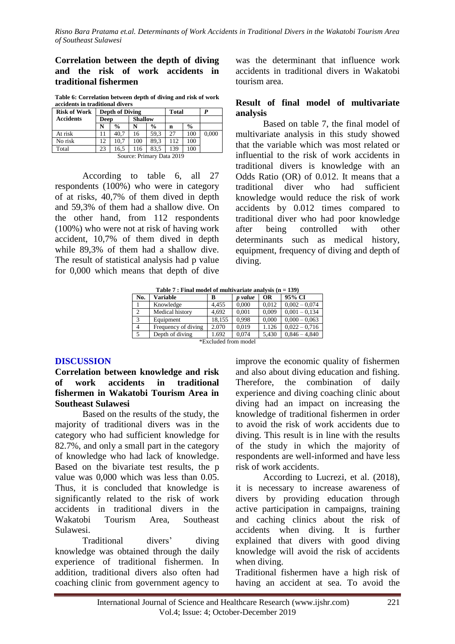## **Correlation between the depth of diving and the risk of work accidents in traditional fishermen**

**Table 6: Correlation between depth of diving and risk of work accidents in traditional divers**

| <b>Risk of Work</b>       | <b>Depth of Diving</b> |                        |     |               | <b>Total</b> |               | P     |  |
|---------------------------|------------------------|------------------------|-----|---------------|--------------|---------------|-------|--|
| <b>Accidents</b>          |                        | <b>Shallow</b><br>Deep |     |               |              |               |       |  |
|                           | N                      | $\frac{0}{0}$          | N   | $\frac{0}{0}$ | n            | $\frac{6}{9}$ |       |  |
| At risk                   | 11                     | 40.7                   | 16  | 59.3          | 27           | 100           | 0,000 |  |
| No risk                   | 12                     | 10.7                   | 100 | 89.3          | 112          | 100           |       |  |
| Total                     | 23                     | 16.5                   | 116 | 83.5          | 139          | 100           |       |  |
| Source: Primary Data 2019 |                        |                        |     |               |              |               |       |  |

According to table 6, all 27 respondents (100%) who were in category of at risks, 40,7% of them dived in depth and 59,3% of them had a shallow dive. On the other hand, from 112 respondents (100%) who were not at risk of having work accident, 10,7% of them dived in depth while 89,3% of them had a shallow dive. The result of statistical analysis had p value for 0,000 which means that depth of dive

was the determinant that influence work accidents in traditional divers in Wakatobi tourism area.

#### **Result of final model of multivariate analysis**

Based on table 7, the final model of multivariate analysis in this study showed that the variable which was most related or influential to the risk of work accidents in traditional divers is knowledge with an Odds Ratio (OR) of 0.012. It means that a traditional diver who had sufficient knowledge would reduce the risk of work accidents by 0.012 times compared to traditional diver who had poor knowledge after being controlled with other determinants such as medical history, equipment, frequency of diving and depth of diving.

| Table 7 : Final model of multivariate analysis $(n = 139)$ |  |
|------------------------------------------------------------|--|
|                                                            |  |

| No.            | <b>Variable</b>      | в      | p value | <b>OR</b> | 95% CI          |  |  |  |  |  |
|----------------|----------------------|--------|---------|-----------|-----------------|--|--|--|--|--|
|                | Knowledge            | 4.455  | 0.000   | 0.012     | $0,002 - 0,074$ |  |  |  |  |  |
| 2              | Medical history      | 4.692  | 0.001   | 0.009     | $0.001 - 0.134$ |  |  |  |  |  |
| 3              | Equipment            | 18,155 | 0.998   | 0,000     | $0,000 - 0,063$ |  |  |  |  |  |
| $\overline{4}$ | Frequency of diving  | 2.070  | 0.019   | 1.126     | $0.022 - 0.716$ |  |  |  |  |  |
|                | Depth of diving      | 1.692  | 0.074   | 5,430     | $0.846 - 4.840$ |  |  |  |  |  |
|                | *Excluded from model |        |         |           |                 |  |  |  |  |  |

#### **DISCUSSION**

**Correlation between knowledge and risk of work accidents in traditional fishermen in Wakatobi Tourism Area in Southeast Sulawesi**

Based on the results of the study, the majority of traditional divers was in the category who had sufficient knowledge for 82.7%, and only a small part in the category of knowledge who had lack of knowledge. Based on the bivariate test results, the p value was 0,000 which was less than 0.05. Thus, it is concluded that knowledge is significantly related to the risk of work accidents in traditional divers in the Wakatobi Tourism Area, Southeast Sulawesi.

Traditional divers' diving knowledge was obtained through the daily experience of traditional fishermen. In addition, traditional divers also often had coaching clinic from government agency to

improve the economic quality of fishermen and also about diving education and fishing. Therefore, the combination of daily experience and diving coaching clinic about diving had an impact on increasing the knowledge of traditional fishermen in order to avoid the risk of work accidents due to diving. This result is in line with the results of the study in which the majority of respondents are well-informed and have less risk of work accidents.

According to Lucrezi, et al. (2018), it is necessary to increase awareness of divers by providing education through active participation in campaigns, training and caching clinics about the risk of accidents when diving. It is further explained that divers with good diving knowledge will avoid the risk of accidents when diving.

Traditional fishermen have a high risk of having an accident at sea. To avoid the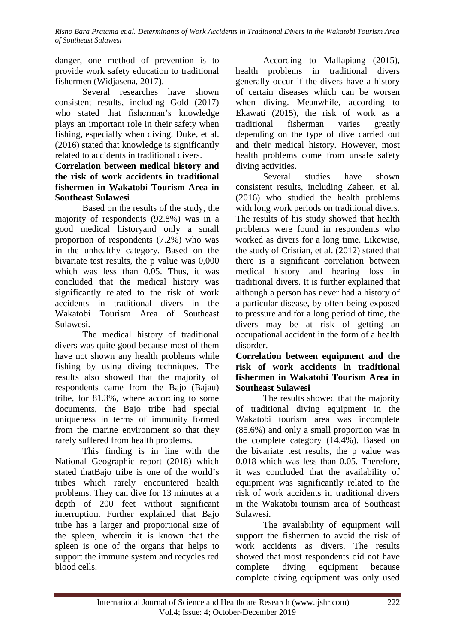danger, one method of prevention is to provide work safety education to traditional fishermen (Widjasena, 2017).

Several researches have shown consistent results, including Gold (2017) who stated that fisherman's knowledge plays an important role in their safety when fishing, especially when diving. Duke, et al. (2016) stated that knowledge is significantly related to accidents in traditional divers.

# **Correlation between medical history and the risk of work accidents in traditional fishermen in Wakatobi Tourism Area in Southeast Sulawesi**

Based on the results of the study, the majority of respondents (92.8%) was in a good medical historyand only a small proportion of respondents (7.2%) who was in the unhealthy category. Based on the bivariate test results, the p value was 0,000 which was less than 0.05. Thus, it was concluded that the medical history was significantly related to the risk of work accidents in traditional divers in the Wakatobi Tourism Area of Southeast Sulawesi.

The medical history of traditional divers was quite good because most of them have not shown any health problems while fishing by using diving techniques. The results also showed that the majority of respondents came from the Bajo (Bajau) tribe, for 81.3%, where according to some documents, the Bajo tribe had special uniqueness in terms of immunity formed from the marine environment so that they rarely suffered from health problems.

This finding is in line with the National Geographic report (2018) which stated thatBajo tribe is one of the world's tribes which rarely encountered health problems. They can dive for 13 minutes at a depth of 200 feet without significant interruption. Further explained that Bajo tribe has a larger and proportional size of the spleen, wherein it is known that the spleen is one of the organs that helps to support the immune system and recycles red blood cells.

According to Mallapiang (2015), health problems in traditional divers generally occur if the divers have a history of certain diseases which can be worsen when diving. Meanwhile, according to Ekawati (2015), the risk of work as a traditional fisherman varies greatly depending on the type of dive carried out and their medical history. However, most health problems come from unsafe safety diving activities.

Several studies have shown consistent results, including Zaheer, et al. (2016) who studied the health problems with long work periods on traditional divers. The results of his study showed that health problems were found in respondents who worked as divers for a long time. Likewise, the study of Cristian, et al. (2012) stated that there is a significant correlation between medical history and hearing loss in traditional divers. It is further explained that although a person has never had a history of a particular disease, by often being exposed to pressure and for a long period of time, the divers may be at risk of getting an occupational accident in the form of a health disorder.

# **Correlation between equipment and the risk of work accidents in traditional fishermen in Wakatobi Tourism Area in Southeast Sulawesi**

The results showed that the majority of traditional diving equipment in the Wakatobi tourism area was incomplete (85.6%) and only a small proportion was in the complete category (14.4%). Based on the bivariate test results, the p value was 0.018 which was less than 0.05. Therefore, it was concluded that the availability of equipment was significantly related to the risk of work accidents in traditional divers in the Wakatobi tourism area of Southeast Sulawesi.

The availability of equipment will support the fishermen to avoid the risk of work accidents as divers. The results showed that most respondents did not have complete diving equipment because complete diving equipment was only used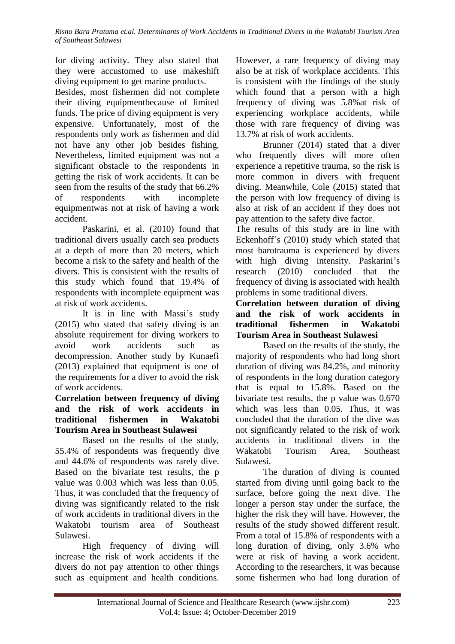for diving activity. They also stated that they were accustomed to use makeshift diving equipment to get marine products.

Besides, most fishermen did not complete their diving equipmentbecause of limited funds. The price of diving equipment is very expensive. Unfortunately, most of the respondents only work as fishermen and did not have any other job besides fishing. Nevertheless, limited equipment was not a significant obstacle to the respondents in getting the risk of work accidents. It can be seen from the results of the study that 66.2% of respondents with incomplete equipmentwas not at risk of having a work accident.

Paskarini, et al. (2010) found that traditional divers usually catch sea products at a depth of more than 20 meters, which become a risk to the safety and health of the divers. This is consistent with the results of this study which found that 19.4% of respondents with incomplete equipment was at risk of work accidents.

It is in line with Massi's study (2015) who stated that safety diving is an absolute requirement for diving workers to avoid work accidents such as decompression. Another study by Kunaefi (2013) explained that equipment is one of the requirements for a diver to avoid the risk of work accidents.

## **Correlation between frequency of diving and the risk of work accidents in traditional fishermen in Wakatobi Tourism Area in Southeast Sulawesi**

Based on the results of the study, 55.4% of respondents was frequently dive and 44.6% of respondents was rarely dive. Based on the bivariate test results, the p value was 0.003 which was less than 0.05. Thus, it was concluded that the frequency of diving was significantly related to the risk of work accidents in traditional divers in the Wakatobi tourism area of Southeast Sulawesi.

High frequency of diving will increase the risk of work accidents if the divers do not pay attention to other things such as equipment and health conditions.

However, a rare frequency of diving may also be at risk of workplace accidents. This is consistent with the findings of the study which found that a person with a high frequency of diving was 5.8%at risk of experiencing workplace accidents, while those with rare frequency of diving was 13.7% at risk of work accidents.

Brunner (2014) stated that a diver who frequently dives will more often experience a repetitive trauma, so the risk is more common in divers with frequent diving. Meanwhile, Cole (2015) stated that the person with low frequency of diving is also at risk of an accident if they does not pay attention to the safety dive factor.

The results of this study are in line with Eckenhoff's (2010) study which stated that most barotrauma is experienced by divers with high diving intensity. Paskarini's research (2010) concluded that the frequency of diving is associated with health problems in some traditional divers.

## **Correlation between duration of diving and the risk of work accidents in traditional fishermen in Wakatobi Tourism Area in Southeast Sulawesi**

Based on the results of the study, the majority of respondents who had long short duration of diving was 84.2%, and minority of respondents in the long duration category that is equal to 15.8%. Based on the bivariate test results, the p value was 0.670 which was less than 0.05. Thus, it was concluded that the duration of the dive was not significantly related to the risk of work accidents in traditional divers in the Wakatobi Tourism Area, Southeast Sulawesi.

The duration of diving is counted started from diving until going back to the surface, before going the next dive. The longer a person stay under the surface, the higher the risk they will have. However, the results of the study showed different result. From a total of 15.8% of respondents with a long duration of diving, only 3.6% who were at risk of having a work accident. According to the researchers, it was because some fishermen who had long duration of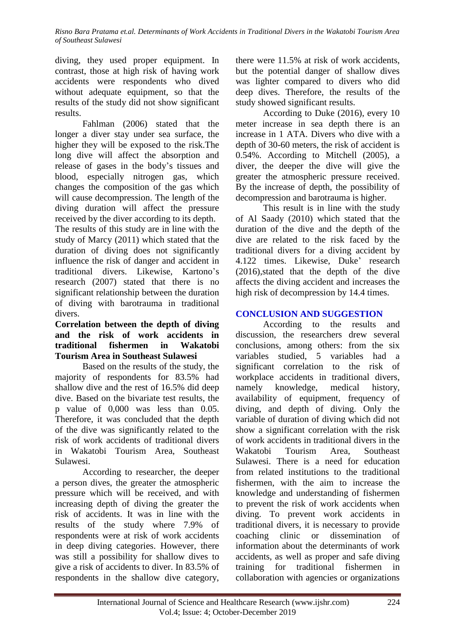diving, they used proper equipment. In contrast, those at high risk of having work accidents were respondents who dived without adequate equipment, so that the results of the study did not show significant results.

Fahlman (2006) stated that the longer a diver stay under sea surface, the higher they will be exposed to the risk.The long dive will affect the absorption and release of gases in the body's tissues and blood, especially nitrogen gas, which changes the composition of the gas which will cause decompression. The length of the diving duration will affect the pressure received by the diver according to its depth.

The results of this study are in line with the study of Marcy (2011) which stated that the duration of diving does not significantly influence the risk of danger and accident in traditional divers. Likewise, Kartono's research (2007) stated that there is no significant relationship between the duration of diving with barotrauma in traditional divers.

## **Correlation between the depth of diving and the risk of work accidents in traditional fishermen in Wakatobi Tourism Area in Southeast Sulawesi**

Based on the results of the study, the majority of respondents for 83.5% had shallow dive and the rest of 16.5% did deep dive. Based on the bivariate test results, the p value of 0,000 was less than 0.05. Therefore, it was concluded that the depth of the dive was significantly related to the risk of work accidents of traditional divers in Wakatobi Tourism Area, Southeast Sulawesi.

According to researcher, the deeper a person dives, the greater the atmospheric pressure which will be received, and with increasing depth of diving the greater the risk of accidents. It was in line with the results of the study where 7.9% of respondents were at risk of work accidents in deep diving categories. However, there was still a possibility for shallow dives to give a risk of accidents to diver. In 83.5% of respondents in the shallow dive category,

there were 11.5% at risk of work accidents, but the potential danger of shallow dives was lighter compared to divers who did deep dives. Therefore, the results of the study showed significant results.

According to Duke (2016), every 10 meter increase in sea depth there is an increase in 1 ATA. Divers who dive with a depth of 30-60 meters, the risk of accident is 0.54%. According to Mitchell (2005), a diver, the deeper the dive will give the greater the atmospheric pressure received. By the increase of depth, the possibility of decompression and barotrauma is higher.

This result is in line with the study of Al Saady (2010) which stated that the duration of the dive and the depth of the dive are related to the risk faced by the traditional divers for a diving accident by 4.122 times. Likewise, Duke' research (2016),stated that the depth of the dive affects the diving accident and increases the high risk of decompression by 14.4 times.

# **CONCLUSION AND SUGGESTION**

According to the results and discussion, the researchers drew several conclusions, among others: from the six variables studied, 5 variables had a significant correlation to the risk of workplace accidents in traditional divers, namely knowledge, medical history, availability of equipment, frequency of diving, and depth of diving. Only the variable of duration of diving which did not show a significant correlation with the risk of work accidents in traditional divers in the Wakatobi Tourism Area, Southeast Sulawesi. There is a need for education from related institutions to the traditional fishermen, with the aim to increase the knowledge and understanding of fishermen to prevent the risk of work accidents when diving. To prevent work accidents in traditional divers, it is necessary to provide coaching clinic or dissemination of information about the determinants of work accidents, as well as proper and safe diving training for traditional fishermen in collaboration with agencies or organizations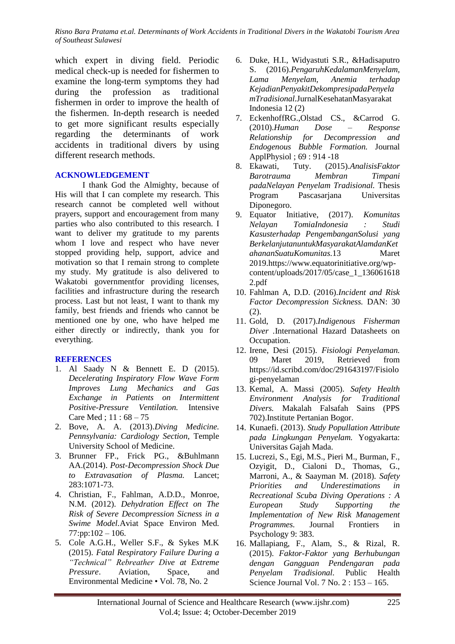which expert in diving field. Periodic medical check-up is needed for fishermen to examine the long-term symptoms they had during the profession as traditional fishermen in order to improve the health of the fishermen. In-depth research is needed to get more significant results especially regarding the determinants of work accidents in traditional divers by using different research methods.

#### **ACKNOWLEDGEMENT**

I thank God the Almighty, because of His will that I can complete my research. This research cannot be completed well without prayers, support and encouragement from many parties who also contributed to this research. I want to deliver my gratitude to my parents whom I love and respect who have never stopped providing help, support, advice and motivation so that I remain strong to complete my study. My gratitude is also delivered to Wakatobi governmentfor providing licenses, facilities and infrastructure during the research process. Last but not least, I want to thank my family, best friends and friends who cannot be mentioned one by one, who have helped me either directly or indirectly, thank you for everything.

#### **REFERENCES**

- 1. Al Saady N & Bennett E. D (2015). *Decelerating Inspiratory Flow Wave Form Improves Lung Mechanics and Gas Exchange in Patients on Intermittent Positive-Pressure Ventilation.* Intensive Care Med ; 11 : 68 – 75
- 2. Bove, A. A. (2013).*Diving Medicine. Pennsylvania: Cardiology Section,* Temple University School of Medicine.
- 3. Brunner FP., Frick PG., &Buhlmann AA.(2014). *Post-Decompression Shock Due to Extravasation of Plasma.* Lancet; 283:1071-73.
- 4. Christian, F., Fahlman, A.D.D., Monroe, N.M. (2012). *Dehydration Effect on The Risk of Severe Decompression Sicness in a Swime Model.*Aviat Space Environ Med.  $77:pp:102-106$ .
- 5. Cole A.G.H., Weller S.F., & Sykes M.K (2015). *Fatal Respiratory Failure During a "Technical" Rebreather Dive at Extreme Pressure*. Aviation, Space, and Environmental Medicine • Vol. 78, No. 2
- 6. Duke, H.I., Widyastuti S.R., &Hadisaputro S. (2016).*PengaruhKedalamanMenyelam, Lama Menyelam, Anemia terhadap KejadianPenyakitDekompresipadaPenyela mTradisional.*JurnalKesehatanMasyarakat Indonesia 12 (2)
- 7. EckenhoffRG.,Olstad CS., &Carrod G. (2010).*Human Dose – Response Relationship for Decompression and Endogenous Bubble Formation.* Journal ApplPhysiol ; 69 : 914 -18
- 8. Ekawati, Tuty. (2015).*AnalisisFaktor Barotrauma Membran Timpani padaNelayan Penyelam Tradisional.* Thesis Program Pascasarjana Universitas Diponegoro.
- 9. Equator Initiative, (2017). *Komunitas Nelayan TomiaIndonesia : Studi Kasusterhadap PengembanganSolusi yang BerkelanjutanuntukMasyarakatAlamdanKet ahananSuatuKomunitas.*13 Maret 2019[.https://www.equatorinitiative.org/wp](https://www.equatorinitiative.org/wp-content/uploads/2017/05/case_1_1360616182.pdf)[content/uploads/2017/05/case\\_1\\_136061618](https://www.equatorinitiative.org/wp-content/uploads/2017/05/case_1_1360616182.pdf) [2.pdf](https://www.equatorinitiative.org/wp-content/uploads/2017/05/case_1_1360616182.pdf)
- 10. Fahlman A, D.D. (2016).*Incident and Risk Factor Decompression Sickness.* DAN: 30 (2).
- 11. Gold, D. (2017).*Indigenous Fisherman Diver .*International Hazard Datasheets on Occupation.
- 12. Irene, Desi (2015). *Fisiologi Penyelaman.*  09 Maret 2019, Retrieved from [https://id.scribd.com/doc/291643197/Fisiolo](https://id.scribd.com/doc/291643197/Fisiologi-penyelaman) [gi-penyelaman](https://id.scribd.com/doc/291643197/Fisiologi-penyelaman)
- 13. Kemal, A. Massi (2005). *Safety Health Environment Analysis for Traditional Divers.* Makalah Falsafah Sains (PPS 702).Institute Pertanian Bogor.
- 14. Kunaefi. (2013). *Study Popullation Attribute pada Lingkungan Penyelam.* Yogyakarta: Universitas Gajah Mada.
- 15. Lucrezi, S., Egi, M.S., Pieri M., Burman, F., Ozyigit, D., Cialoni D., Thomas, G., Marroni, A., & Saayman M. (2018). *Safety Priorities and Underestimations in Recreational Scuba Diving Operations : A European Study Supporting the Implementation of New Risk Management Programmes.* Journal Frontiers in Psychology 9: 383.
- 16. Mallapiang, F., Alam, S., & Rizal, R. (2015). *Faktor-Faktor yang Berhubungan dengan Gangguan Pendengaran pada Penyelam Tradisional.* Public Health Science Journal Vol. 7 No. 2 : 153 – 165.